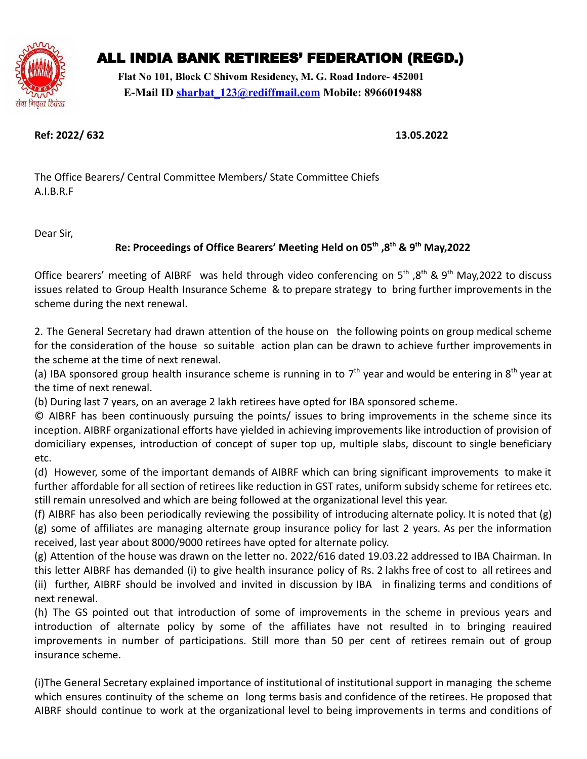

# ALL INDIA BANK RETIREES' FEDERATION (REGD.)

**Flat No 101, Block C Shivom Residency, M. G. Road Indore- 452001 E-Mail ID [sharbat\\_123@rediffmail.com](mailto:sharbat_123@rediffmail.com) Mobile: 8966019488**

## **Ref: 2022/ 632 13.05.2022**

The Office Bearers/ Central Committee Members/ State Committee Chiefs A.I.B.R.F

Dear Sir,

## **Re: Proceedings of Office Bearers' Meeting Held on 05th ,8th & 9th May,2022**

Office bearers' meeting of AIBRF was held through video conferencing on  $5<sup>th</sup>$ ,  $8<sup>th</sup>$  &  $9<sup>th</sup>$  May, 2022 to discuss issues related to Group Health Insurance Scheme & to prepare strategy to bring further improvements in the scheme during the next renewal.

2. The General Secretary had drawn attention of the house on the following points on group medical scheme for the consideration of the house so suitable action plan can be drawn to achieve further improvements in the scheme at the time of next renewal.

(a) IBA sponsored group health insurance scheme is running in to 7<sup>th</sup> year and would be entering in 8<sup>th</sup> year at the time of next renewal.

(b) During last 7 years, on an average 2 lakh retirees have opted for IBA sponsored scheme.

© AIBRF has been continuously pursuing the points/ issues to bring improvements in the scheme since its inception. AIBRF organizational efforts have yielded in achieving improvements like introduction of provision of domiciliary expenses, introduction of concept of super top up, multiple slabs, discount to single beneficiary etc.

(d) However, some of the important demands of AIBRF which can bring significant improvements to make it further affordable for all section of retirees like reduction in GST rates, uniform subsidy scheme for retirees etc. still remain unresolved and which are being followed at the organizational level this year.

(f) AIBRF has also been periodically reviewing the possibility of introducing alternate policy. It is noted that (g) (g) some of affiliates are managing alternate group insurance policy for last 2 years. As per the information received, last year about 8000/9000 retirees have opted for alternate policy.

(g) Attention of the house was drawn on the letter no. 2022/616 dated 19.03.22 addressed to IBA Chairman. In this letter AIBRF has demanded (i) to give health insurance policy of Rs. 2 lakhs free of cost to all retirees and (ii) further, AIBRF should be involved and invited in discussion by IBA in finalizing terms and conditions of next renewal.

(h) The GS pointed out that introduction of some of improvements in the scheme in previous years and introduction of alternate policy by some of the affiliates have not resulted in to bringing reauired improvements in number of participations. Still more than 50 per cent of retirees remain out of group insurance scheme.

(i)The General Secretary explained importance of institutional of institutional support in managing the scheme which ensures continuity of the scheme on long terms basis and confidence of the retirees. He proposed that AIBRF should continue to work at the organizational level to being improvements in terms and conditions of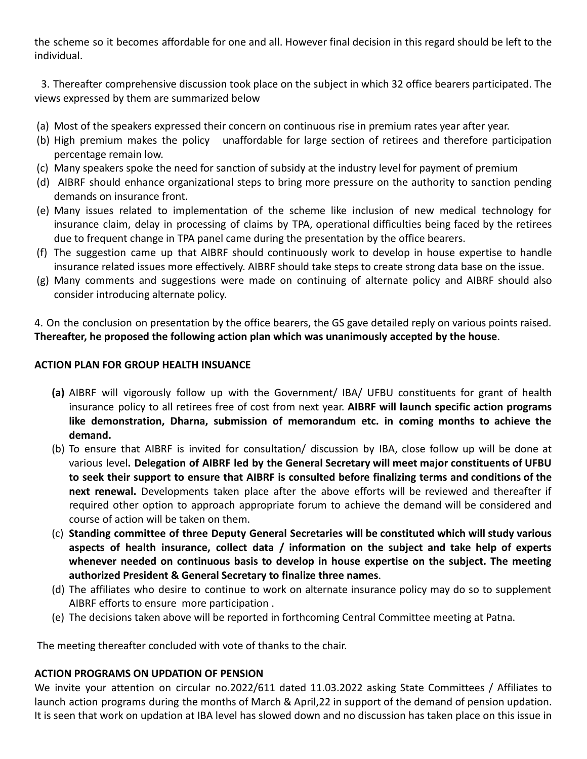the scheme so it becomes affordable for one and all. However final decision in this regard should be left to the individual.

3. Thereafter comprehensive discussion took place on the subject in which 32 office bearers participated. The views expressed by them are summarized below

- (a) Most of the speakers expressed their concern on continuous rise in premium rates year after year.
- (b) High premium makes the policy unaffordable for large section of retirees and therefore participation percentage remain low.
- (c) Many speakers spoke the need for sanction of subsidy at the industry level for payment of premium
- (d) AIBRF should enhance organizational steps to bring more pressure on the authority to sanction pending demands on insurance front.
- (e) Many issues related to implementation of the scheme like inclusion of new medical technology for insurance claim, delay in processing of claims by TPA, operational difficulties being faced by the retirees due to frequent change in TPA panel came during the presentation by the office bearers.
- (f) The suggestion came up that AIBRF should continuously work to develop in house expertise to handle insurance related issues more effectively. AIBRF should take steps to create strong data base on the issue.
- (g) Many comments and suggestions were made on continuing of alternate policy and AIBRF should also consider introducing alternate policy.

4. On the conclusion on presentation by the office bearers, the GS gave detailed reply on various points raised. **Thereafter, he proposed the following action plan which was unanimously accepted by the house**.

### **ACTION PLAN FOR GROUP HEALTH INSUANCE**

- **(a)** AIBRF will vigorously follow up with the Government/ IBA/ UFBU constituents for grant of health insurance policy to all retirees free of cost from next year. **AIBRF will launch specific action programs like demonstration, Dharna, submission of memorandum etc. in coming months to achieve the demand.**
- (b) To ensure that AIBRF is invited for consultation/ discussion by IBA, close follow up will be done at various level**. Delegation of AIBRF led by the General Secretary will meet major constituents of UFBU to seek their support to ensure that AIBRF is consulted before finalizing terms and conditions of the next renewal.** Developments taken place after the above efforts will be reviewed and thereafter if required other option to approach appropriate forum to achieve the demand will be considered and course of action will be taken on them.
- (c) **Standing committee of three Deputy General Secretaries will be constituted which will study various aspects of health insurance, collect data / information on the subject and take help of experts whenever needed on continuous basis to develop in house expertise on the subject. The meeting authorized President & General Secretary to finalize three names**.
- (d) The affiliates who desire to continue to work on alternate insurance policy may do so to supplement AIBRF efforts to ensure more participation .
- (e) The decisions taken above will be reported in forthcoming Central Committee meeting at Patna.

The meeting thereafter concluded with vote of thanks to the chair.

### **ACTION PROGRAMS ON UPDATION OF PENSION**

We invite your attention on circular no.2022/611 dated 11.03.2022 asking State Committees / Affiliates to launch action programs during the months of March & April,22 in support of the demand of pension updation. It is seen that work on updation at IBA level has slowed down and no discussion has taken place on this issue in